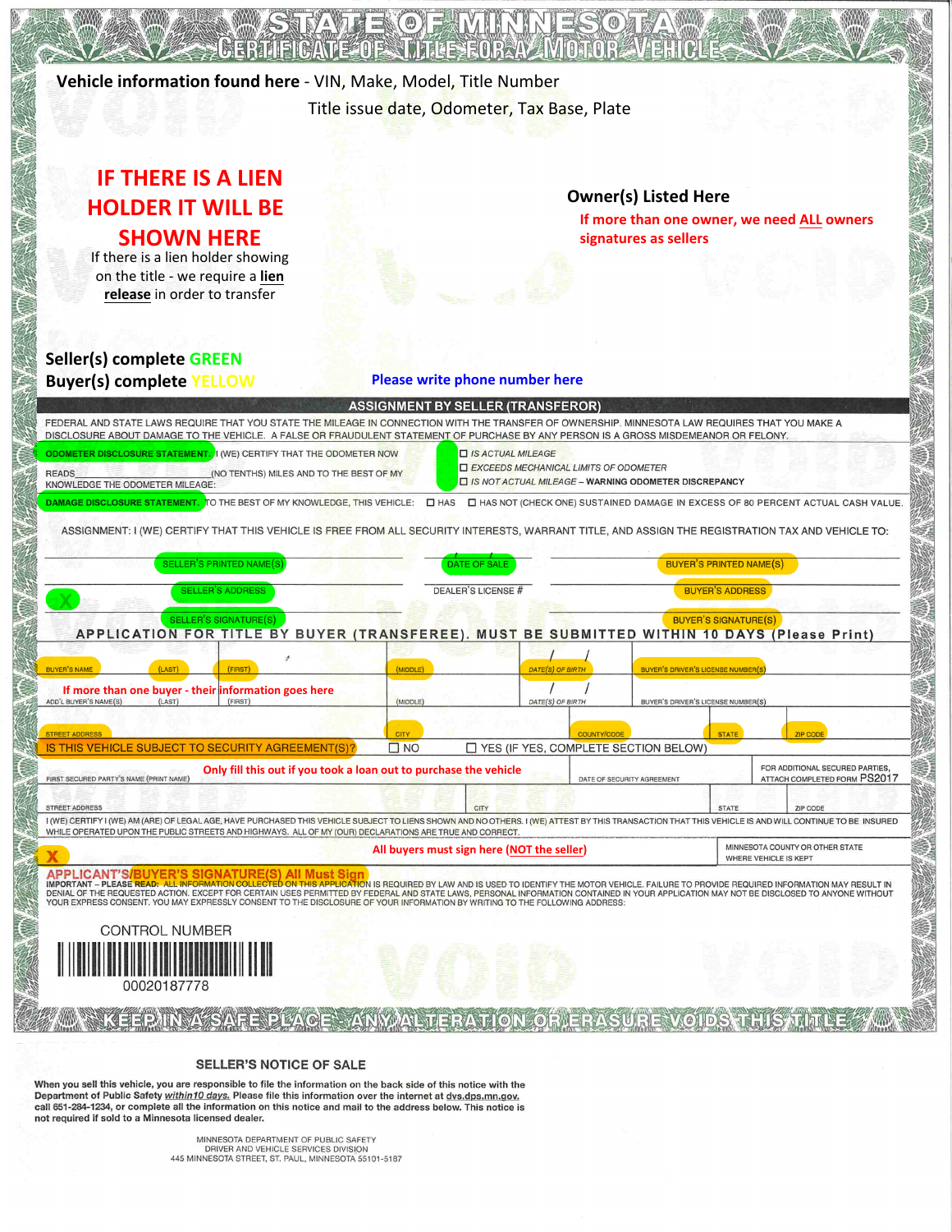

**SELLER'S NOTICE OF SALE** 

When you sell this vehicle, you are responsible to file the information on the back side of this notice with the Department of Public Safety within10 days. Please file this information over the internet at dvs.dps.mn.gov. call 651-284-1234, or complete all the information on this notice and mail to the address below. This notice is not required if sold to a Minnesota licensed dealer.

> MINNESOTA DEPARTMENT OF PUBLIC SAFETY DRIVER AND VEHICLE SERVICES DIVISION 445 MINNESOTA STREET, ST. PAUL, MINNESOTA 55101-5187